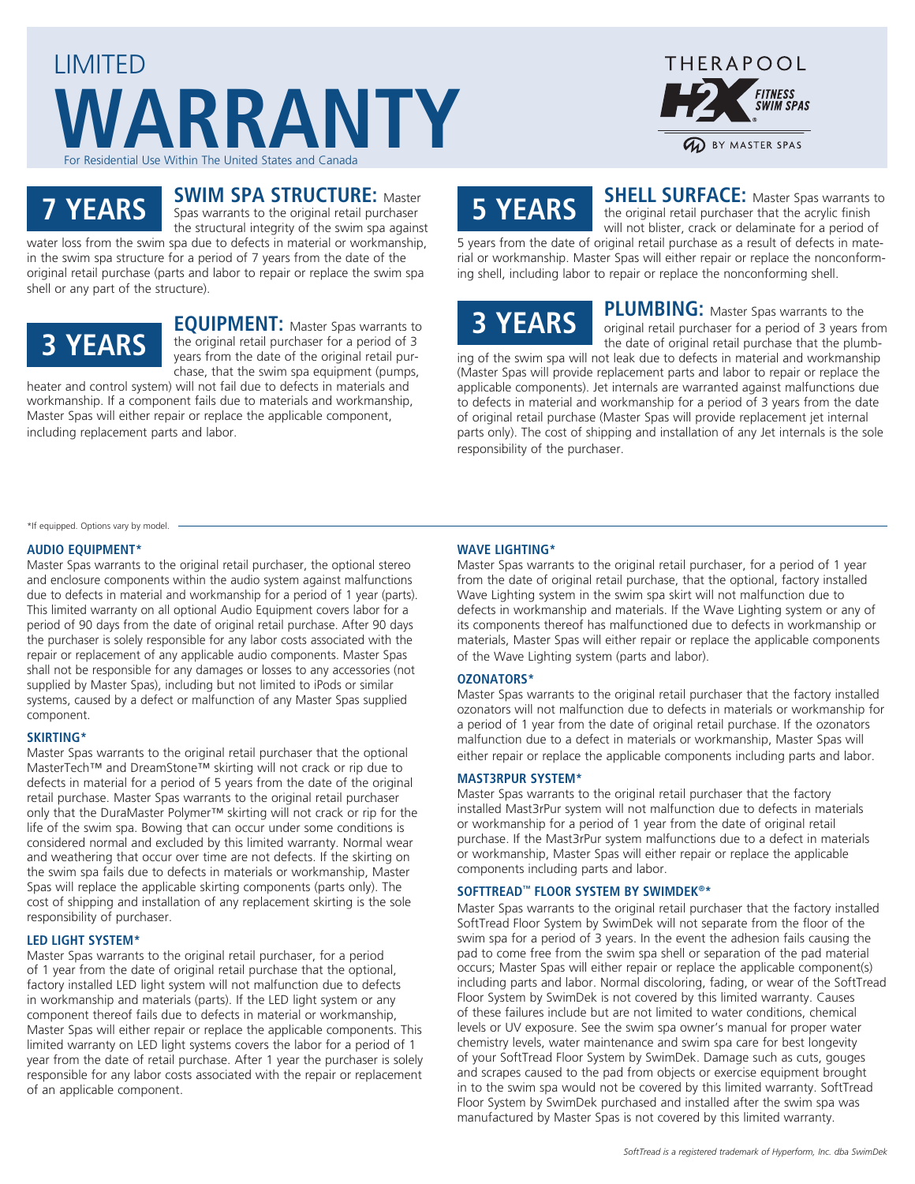### LIMITED **WARRANTY** For Residential Use Within The United States and Canad



# **7 YEARS**

### **SWIM SPA STRUCTURE:** Master

Spas warrants to the original retail purchaser the structural integrity of the swim spa against water loss from the swim spa due to defects in material or workmanship,

in the swim spa structure for a period of 7 years from the date of the original retail purchase (parts and labor to repair or replace the swim spa shell or any part of the structure).

## **3 YEARS**

**EQUIPMENT:** Master Spas warrants to the original retail purchaser for a period of 3 years from the date of the original retail purchase, that the swim spa equipment (pumps,

heater and control system) will not fail due to defects in materials and workmanship. If a component fails due to materials and workmanship, Master Spas will either repair or replace the applicable component, including replacement parts and labor.

### **5 YEARS**

**SHELL SURFACE:** Master Spas warrants to the original retail purchaser that the acrylic finish will not blister, crack or delaminate for a period of

5 years from the date of original retail purchase as a result of defects in material or workmanship. Master Spas will either repair or replace the nonconforming shell, including labor to repair or replace the nonconforming shell.

### **3 YEARS**

**PLUMBING:** Master Spas warrants to the original retail purchaser for a period of 3 years from the date of original retail purchase that the plumb-

ing of the swim spa will not leak due to defects in material and workmanship (Master Spas will provide replacement parts and labor to repair or replace the applicable components). Jet internals are warranted against malfunctions due to defects in material and workmanship for a period of 3 years from the date of original retail purchase (Master Spas will provide replacement jet internal parts only). The cost of shipping and installation of any Jet internals is the sole responsibility of the purchaser.

\*If equipped. Options vary by model.

#### **AUDIO EQUIPMENT\***

Master Spas warrants to the original retail purchaser, the optional stereo and enclosure components within the audio system against malfunctions due to defects in material and workmanship for a period of 1 year (parts). This limited warranty on all optional Audio Equipment covers labor for a period of 90 days from the date of original retail purchase. After 90 days the purchaser is solely responsible for any labor costs associated with the repair or replacement of any applicable audio components. Master Spas shall not be responsible for any damages or losses to any accessories (not supplied by Master Spas), including but not limited to iPods or similar systems, caused by a defect or malfunction of any Master Spas supplied component.

#### **SKIRTING\***

Master Spas warrants to the original retail purchaser that the optional MasterTech™ and DreamStone™ skirting will not crack or rip due to defects in material for a period of 5 years from the date of the original retail purchase. Master Spas warrants to the original retail purchaser only that the DuraMaster Polymer™ skirting will not crack or rip for the life of the swim spa. Bowing that can occur under some conditions is considered normal and excluded by this limited warranty. Normal wear and weathering that occur over time are not defects. If the skirting on the swim spa fails due to defects in materials or workmanship, Master Spas will replace the applicable skirting components (parts only). The cost of shipping and installation of any replacement skirting is the sole responsibility of purchaser.

#### **LED LIGHT SYSTEM\***

Master Spas warrants to the original retail purchaser, for a period of 1 year from the date of original retail purchase that the optional, factory installed LED light system will not malfunction due to defects in workmanship and materials (parts). If the LED light system or any component thereof fails due to defects in material or workmanship, Master Spas will either repair or replace the applicable components. This limited warranty on LED light systems covers the labor for a period of 1 year from the date of retail purchase. After 1 year the purchaser is solely responsible for any labor costs associated with the repair or replacement of an applicable component.

#### **WAVE LIGHTING\***

Master Spas warrants to the original retail purchaser, for a period of 1 year from the date of original retail purchase, that the optional, factory installed Wave Lighting system in the swim spa skirt will not malfunction due to defects in workmanship and materials. If the Wave Lighting system or any of its components thereof has malfunctioned due to defects in workmanship or materials, Master Spas will either repair or replace the applicable components of the Wave Lighting system (parts and labor).

#### **OZONATORS\***

Master Spas warrants to the original retail purchaser that the factory installed ozonators will not malfunction due to defects in materials or workmanship for a period of 1 year from the date of original retail purchase. If the ozonators malfunction due to a defect in materials or workmanship, Master Spas will either repair or replace the applicable components including parts and labor.

#### **MAST3RPUR SYSTEM\***

Master Spas warrants to the original retail purchaser that the factory installed Mast3rPur system will not malfunction due to defects in materials or workmanship for a period of 1 year from the date of original retail purchase. If the Mast3rPur system malfunctions due to a defect in materials or workmanship, Master Spas will either repair or replace the applicable components including parts and labor.

#### **SOFTTREAD™ FLOOR SYSTEM BY SWIMDEK®\***

Master Spas warrants to the original retail purchaser that the factory installed SoftTread Floor System by SwimDek will not separate from the floor of the swim spa for a period of 3 years. In the event the adhesion fails causing the pad to come free from the swim spa shell or separation of the pad material occurs; Master Spas will either repair or replace the applicable component(s) including parts and labor. Normal discoloring, fading, or wear of the SoftTread Floor System by SwimDek is not covered by this limited warranty. Causes of these failures include but are not limited to water conditions, chemical levels or UV exposure. See the swim spa owner's manual for proper water chemistry levels, water maintenance and swim spa care for best longevity of your SoftTread Floor System by SwimDek. Damage such as cuts, gouges and scrapes caused to the pad from objects or exercise equipment brought in to the swim spa would not be covered by this limited warranty. SoftTread Floor System by SwimDek purchased and installed after the swim spa was manufactured by Master Spas is not covered by this limited warranty.